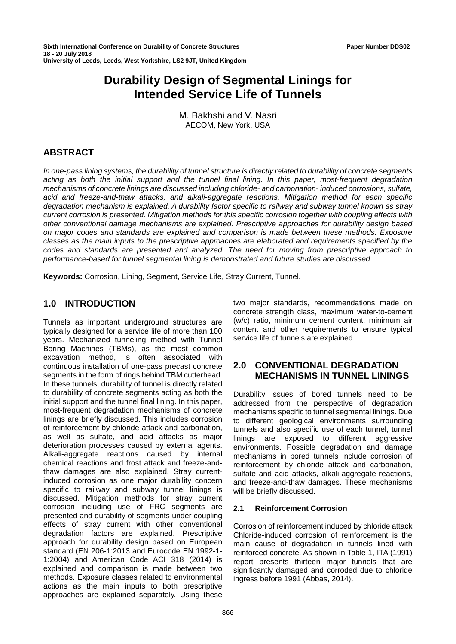# **Durability Design of Segmental Linings for Intended Service Life of Tunnels**

M. Bakhshi and V. Nasri AECOM, New York, USA

# **ABSTRACT**

*In one-pass lining systems, the durability of tunnel structure is directly related to durability of concrete segments acting as both the initial support and the tunnel final lining. In this paper, most-frequent degradation mechanisms of concrete linings are discussed including chloride- and carbonation- induced corrosions, sulfate, acid and freeze-and-thaw attacks, and alkali-aggregate reactions. Mitigation method for each specific degradation mechanism is explained. A durability factor specific to railway and subway tunnel known as stray current corrosion is presented. Mitigation methods for this specific corrosion together with coupling effects with other conventional damage mechanisms are explained. Prescriptive approaches for durability design based on major codes and standards are explained and comparison is made between these methods. Exposure classes as the main inputs to the prescriptive approaches are elaborated and requirements specified by the codes and standards are presented and analyzed. The need for moving from prescriptive approach to performance-based for tunnel segmental lining is demonstrated and future studies are discussed.*

**Keywords:** Corrosion, Lining, Segment, Service Life, Stray Current, Tunnel.

### **1.0 INTRODUCTION**

Tunnels as important underground structures are typically designed for a service life of more than 100 years. Mechanized tunneling method with Tunnel Boring Machines (TBMs), as the most common excavation method, is often associated with continuous installation of one-pass precast concrete segments in the form of rings behind TBM cutterhead. In these tunnels, durability of tunnel is directly related to durability of concrete segments acting as both the initial support and the tunnel final lining. In this paper, most-frequent degradation mechanisms of concrete linings are briefly discussed. This includes corrosion of reinforcement by chloride attack and carbonation, as well as sulfate, and acid attacks as major deterioration processes caused by external agents. Alkali-aggregate reactions caused by internal chemical reactions and frost attack and freeze-andthaw damages are also explained. Stray currentinduced corrosion as one major durability concern specific to railway and subway tunnel linings is discussed. Mitigation methods for stray current corrosion including use of FRC segments are presented and durability of segments under coupling effects of stray current with other conventional degradation factors are explained. Prescriptive approach for durability design based on European standard (EN 206-1:2013 and Eurocode EN 1992-1- 1:2004) and American Code ACI 318 (2014) is explained and comparison is made between two methods. Exposure classes related to environmental actions as the main inputs to both prescriptive approaches are explained separately. Using these

two major standards, recommendations made on concrete strength class, maximum water-to-cement (w/c) ratio, minimum cement content, minimum air content and other requirements to ensure typical service life of tunnels are explained.

### **2.0 CONVENTIONAL DEGRADATION MECHANISMS IN TUNNEL LININGS**

Durability issues of bored tunnels need to be addressed from the perspective of degradation mechanisms specific to tunnel segmental linings. Due to different geological environments surrounding tunnels and also specific use of each tunnel, tunnel linings are exposed to different aggressive environments. Possible degradation and damage mechanisms in bored tunnels include corrosion of reinforcement by chloride attack and carbonation, sulfate and acid attacks, alkali-aggregate reactions, and freeze-and-thaw damages. These mechanisms will be briefly discussed.

### **2.1 Reinforcement Corrosion**

Corrosion of reinforcement induced by chloride attack Chloride-induced corrosion of reinforcement is the main cause of degradation in tunnels lined with reinforced concrete. As shown in Table 1, ITA (1991) report presents thirteen major tunnels that are significantly damaged and corroded due to chloride ingress before 1991 (Abbas, 2014).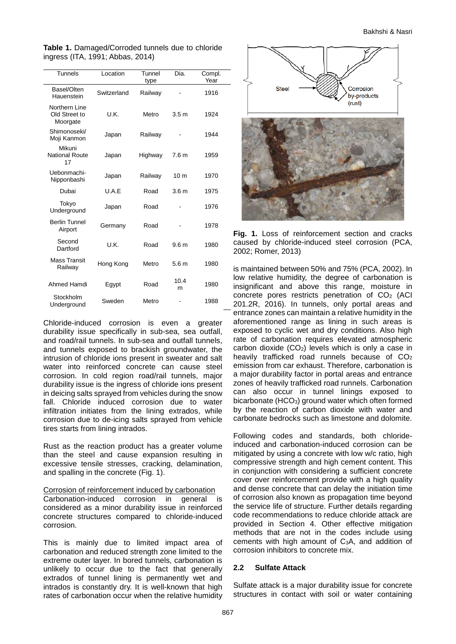| Tunnels                                    | Location    | Tunnel<br>type | Dia.             | Compl.<br>Year |
|--------------------------------------------|-------------|----------------|------------------|----------------|
| Basel/Olten<br>Hauenstein                  | Switzerland | Railway        |                  | 1916           |
| Northern Line<br>Old Street to<br>Moorgate | U.K.        | Metro          | 3.5 <sub>m</sub> | 1924           |
| Shimonoseki/<br>Moji Kanmon                | Japan       | Railway        |                  | 1944           |
| Mikuni<br><b>National Route</b><br>17      | Japan       | Highway        | 7.6 <sub>m</sub> | 1959           |
| Uebonmachi-<br>Nipponbashi                 | Japan       | Railway        | 10 <sub>m</sub>  | 1970           |
| Dubai                                      | U.A.E       | Road           | 3.6 <sub>m</sub> | 1975           |
| Tokyo<br>Underground                       | Japan       | Road           |                  | 1976           |
| <b>Berlin Tunnel</b><br>Airport            | Germany     | Road           |                  | 1978           |
| Second<br>Dartford                         | U.K.        | Road           | 9.6 <sub>m</sub> | 1980           |
| <b>Mass Transit</b><br>Railway             | Hong Kong   | Metro          | 5.6 <sub>m</sub> | 1980           |
| Ahmed Hamdi                                | Egypt       | Road           | 10.4<br>m        | 1980           |
| Stockholm<br>Underground                   | Sweden      | Metro          |                  | 1988           |

**Table 1.** Damaged/Corroded tunnels due to chloride ingress (ITA, 1991; Abbas, 2014)

Chloride-induced corrosion is even a greater durability issue specifically in sub-sea, sea outfall, and road/rail tunnels. In sub-sea and outfall tunnels, and tunnels exposed to brackish groundwater, the intrusion of chloride ions present in sweater and salt water into reinforced concrete can cause steel corrosion. In cold region road/rail tunnels, major durability issue is the ingress of chloride ions present in deicing salts sprayed from vehicles during the snow fall. Chloride induced corrosion due to water infiltration initiates from the lining extrados, while corrosion due to de-icing salts sprayed from vehicle tires starts from lining intrados.

Rust as the reaction product has a greater volume than the steel and cause expansion resulting in excessive tensile stresses, cracking, delamination, and spalling in the concrete (Fig. 1).

#### Corrosion of reinforcement induced by carbonation

Carbonation-induced corrosion in general is considered as a minor durability issue in reinforced concrete structures compared to chloride-induced corrosion.

This is mainly due to limited impact area of carbonation and reduced strength zone limited to the extreme outer layer. In bored tunnels, carbonation is unlikely to occur due to the fact that generally extrados of tunnel lining is permanently wet and intrados is constantly dry. It is well-known that high rates of carbonation occur when the relative humidity



**Fig. 1.** Loss of reinforcement section and cracks caused by chloride-induced steel corrosion (PCA, 2002; Romer, 2013)

is maintained between 50% and 75% (PCA, 2002). In low relative humidity, the degree of carbonation is insignificant and above this range, moisture in concrete pores restricts penetration of CO2 (ACI 201.2R, 2016). In tunnels, only portal areas and entrance zones can maintain a relative humidity in the aforementioned range as lining in such areas is exposed to cyclic wet and dry conditions. Also high rate of carbonation requires elevated atmospheric carbon dioxide  $(CO<sub>2</sub>)$  levels which is only a case in heavily trafficked road runnels because of  $CO<sub>2</sub>$ emission from car exhaust. Therefore, carbonation is a major durability factor in portal areas and entrance zones of heavily trafficked road runnels. Carbonation can also occur in tunnel linings exposed to bicarbonate (HCO<sub>3</sub>) ground water which often formed by the reaction of carbon dioxide with water and carbonate bedrocks such as limestone and dolomite.

Following codes and standards, both chlorideinduced and carbonation-induced corrosion can be mitigated by using a concrete with low w/c ratio, high compressive strength and high cement content. This in conjunction with considering a sufficient concrete cover over reinforcement provide with a high quality and dense concrete that can delay the initiation time of corrosion also known as propagation time beyond the service life of structure. Further details regarding code recommendations to reduce chloride attack are provided in Section 4. Other effective mitigation methods that are not in the codes include using cements with high amount of C3A, and addition of corrosion inhibitors to concrete mix.

#### **2.2 Sulfate Attack**

Sulfate attack is a major durability issue for concrete structures in contact with soil or water containing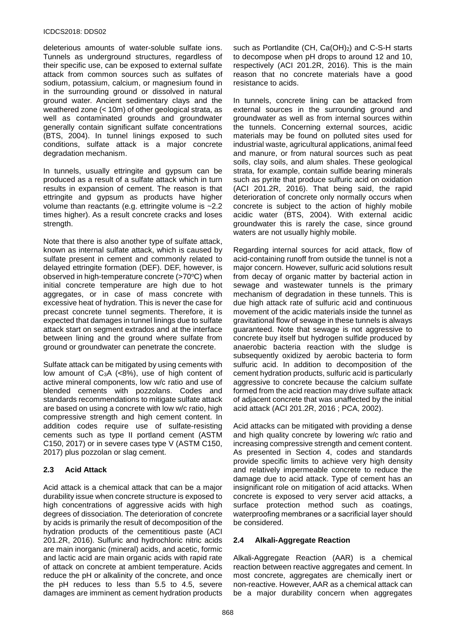#### ICDCS2018: DDS02

deleterious amounts of water-soluble sulfate ions. Tunnels as underground structures, regardless of their specific use, can be exposed to external sulfate attack from common sources such as sulfates of sodium, potassium, calcium, or magnesium found in in the surrounding ground or dissolved in natural ground water. Ancient sedimentary clays and the weathered zone (< 10m) of other geological strata, as well as contaminated grounds and groundwater generally contain significant sulfate concentrations (BTS, 2004). In tunnel linings exposed to such conditions, sulfate attack is a major concrete degradation mechanism.

In tunnels, usually ettringite and gypsum can be produced as a result of a sulfate attack which in turn results in expansion of cement. The reason is that ettringite and gypsum as products have higher volume than reactants (e.g. ettringite volume is ~2.2 times higher). As a result concrete cracks and loses strength.

Note that there is also another type of sulfate attack, known as internal sulfate attack, which is caused by sulfate present in cement and commonly related to delayed ettringite formation (DEF). DEF, however, is observed in high-temperature concrete  $($ >70 $°C)$  when initial concrete temperature are high due to hot aggregates, or in case of mass concrete with excessive heat of hydration. This is never the case for precast concrete tunnel segments. Therefore, it is expected that damages in tunnel linings due to sulfate attack start on segment extrados and at the interface between lining and the ground where sulfate from ground or groundwater can penetrate the concrete.

Sulfate attack can be mitigated by using cements with low amount of C3A (<8%), use of high content of active mineral components, low w/c ratio and use of blended cements with pozzolans. Codes and standards recommendations to mitigate sulfate attack are based on using a concrete with low w/c ratio, high compressive strength and high cement content. In addition codes require use of sulfate-resisting cements such as type II portland cement (ASTM C150, 2017) or in severe cases type V (ASTM C150, 2017) plus pozzolan or slag cement.

### **2.3 Acid Attack**

Acid attack is a chemical attack that can be a major durability issue when concrete structure is exposed to high concentrations of aggressive acids with high degrees of dissociation. The deterioration of concrete by acids is primarily the result of decomposition of the hydration products of the cementitious paste (ACI 201.2R, 2016). Sulfuric and hydrochloric nitric acids are main inorganic (mineral) acids, and acetic, formic and lactic acid are main organic acids with rapid rate of attack on concrete at ambient temperature. Acids reduce the pH or alkalinity of the concrete, and once the pH reduces to less than 5.5 to 4.5, severe damages are imminent as cement hydration products

such as Portlandite (CH, Ca(OH)<sub>2</sub>) and C-S-H starts to decompose when pH drops to around 12 and 10, respectively (ACI 201.2R, 2016). This is the main reason that no concrete materials have a good resistance to acids.

In tunnels, concrete lining can be attacked from external sources in the surrounding ground and groundwater as well as from internal sources within the tunnels. Concerning external sources, acidic materials may be found on polluted sites used for industrial waste, agricultural applications, animal feed and manure, or from natural sources such as peat soils, clay soils, and alum shales. These geological strata, for example, contain sulfide bearing minerals such as pyrite that produce sulfuric acid on oxidation (ACI 201.2R, 2016). That being said, the rapid deterioration of concrete only normally occurs when concrete is subject to the action of highly mobile acidic water (BTS, 2004). With external acidic groundwater this is rarely the case, since ground waters are not usually highly mobile.

Regarding internal sources for acid attack, flow of acid-containing runoff from outside the tunnel is not a major concern. However, sulfuric acid solutions result from decay of organic matter by bacterial action in sewage and wastewater tunnels is the primary mechanism of degradation in these tunnels. This is due high attack rate of sulfuric acid and continuous movement of the acidic materials inside the tunnel as gravitational flow of sewage in these tunnels is always guaranteed. Note that sewage is not aggressive to concrete buy itself but hydrogen sulfide produced by anaerobic bacteria reaction with the sludge is subsequently oxidized by aerobic bacteria to form sulfuric acid. In addition to decomposition of the cement hydration products, sulfuric acid is particularly aggressive to concrete because the calcium sulfate formed from the acid reaction may drive sulfate attack of adjacent concrete that was unaffected by the initial acid attack (ACI 201.2R, 2016 ; PCA, 2002).

Acid attacks can be mitigated with providing a dense and high quality concrete by lowering w/c ratio and increasing compressive strength and cement content. As presented in Section 4, codes and standards provide specific limits to achieve very high density and relatively impermeable concrete to reduce the damage due to acid attack. Type of cement has an insignificant role on mitigation of acid attacks. When concrete is exposed to very server acid attacks, a surface protection method such as coatings, waterproofing membranes or a sacrificial layer should be considered.

### **2.4 Alkali-Aggregate Reaction**

Alkali-Aggregate Reaction (AAR) is a chemical reaction between reactive aggregates and cement. In most concrete, aggregates are chemically inert or non-reactive. However, AAR as a chemical attack can be a major durability concern when aggregates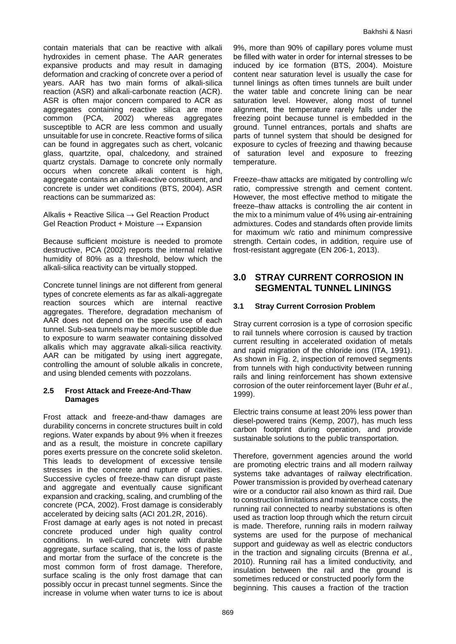contain materials that can be reactive with alkali hydroxides in cement phase. The AAR generates expansive products and may result in damaging deformation and cracking of concrete over a period of years. AAR has two main forms of alkali-silica reaction (ASR) and alkali-carbonate reaction (ACR). ASR is often major concern compared to ACR as aggregates containing reactive silica are more common (PCA, 2002) whereas aggregates susceptible to ACR are less common and usually unsuitable for use in concrete. Reactive forms of silica can be found in aggregates such as chert, volcanic glass, quartzite, opal, chalcedony, and strained quartz crystals. Damage to concrete only normally occurs when concrete alkali content is high, aggregate contains an alkali-reactive constituent, and concrete is under wet conditions (BTS, 2004). ASR reactions can be summarized as:

Alkalis + Reactive Silica  $\rightarrow$  Gel Reaction Product Gel Reaction Product + Moisture  $\rightarrow$  Expansion

Because sufficient moisture is needed to promote destructive, PCA (2002) reports the internal relative humidity of 80% as a threshold, below which the alkali-silica reactivity can be virtually stopped.

Concrete tunnel linings are not different from general types of concrete elements as far as alkali-aggregate reaction sources which are internal reactive aggregates. Therefore, degradation mechanism of AAR does not depend on the specific use of each tunnel. Sub-sea tunnels may be more susceptible due to exposure to warm seawater containing dissolved alkalis which may aggravate alkali-silica reactivity. AAR can be mitigated by using inert aggregate, controlling the amount of soluble alkalis in concrete, and using blended cements with pozzolans.

#### **2.5 Frost Attack and Freeze-And-Thaw Damages**

Frost attack and freeze-and-thaw damages are durability concerns in concrete structures built in cold regions. Water expands by about 9% when it freezes and as a result, the moisture in concrete capillary pores exerts pressure on the concrete solid skeleton. This leads to development of excessive tensile stresses in the concrete and rupture of cavities. Successive cycles of freeze-thaw can disrupt paste and aggregate and eventually cause significant expansion and cracking, scaling, and crumbling of the concrete (PCA, 2002). Frost damage is considerably accelerated by deicing salts (ACI 201.2R, 2016).

Frost damage at early ages is not noted in precast concrete produced under high quality control conditions. In well-cured concrete with durable aggregate, surface scaling, that is, the loss of paste and mortar from the surface of the concrete is the most common form of frost damage. Therefore, surface scaling is the only frost damage that can possibly occur in precast tunnel segments. Since the increase in volume when water turns to ice is about

9%, more than 90% of capillary pores volume must be filled with water in order for internal stresses to be induced by ice formation (BTS, 2004). Moisture content near saturation level is usually the case for tunnel linings as often times tunnels are built under the water table and concrete lining can be near saturation level. However, along most of tunnel alignment, the temperature rarely falls under the freezing point because tunnel is embedded in the ground. Tunnel entrances, portals and shafts are parts of tunnel system that should be designed for exposure to cycles of freezing and thawing because of saturation level and exposure to freezing temperature.

Freeze–thaw attacks are mitigated by controlling w/c ratio, compressive strength and cement content. However, the most effective method to mitigate the freeze–thaw attacks is controlling the air content in the mix to a minimum value of 4% using air-entraining admixtures. Codes and standards often provide limits for maximum w/c ratio and minimum compressive strength. Certain codes, in addition, require use of frost-resistant aggregate (EN 206-1, 2013).

# **3.0 STRAY CURRENT CORROSION IN SEGMENTAL TUNNEL LININGS**

### **3.1 Stray Current Corrosion Problem**

Stray current corrosion is a type of corrosion specific to rail tunnels where corrosion is caused by traction current resulting in accelerated oxidation of metals and rapid migration of the chloride ions (ITA, 1991). As shown in Fig. 2, inspection of removed segments from tunnels with high conductivity between running rails and lining reinforcement has shown extensive corrosion of the outer reinforcement layer (Buhr *et al.*, 1999).

Electric trains consume at least 20% less power than diesel-powered trains (Kemp, 2007), has much less carbon footprint during operation, and provide sustainable solutions to the public transportation.

Therefore, government agencies around the world are promoting electric trains and all modern railway systems take advantages of railway electrification. Power transmission is provided by overhead catenary wire or a conductor rail also known as third rail. Due to construction limitations and maintenance costs, the running rail connected to nearby substations is often used as traction loop through which the return circuit is made. Therefore, running rails in modern railway systems are used for the purpose of mechanical support and guideway as well as electric conductors in the traction and signaling circuits (Brenna *et al.*, 2010). Running rail has a limited conductivity, and insulation between the rail and the ground is sometimes reduced or constructed poorly form the beginning. This causes a fraction of the traction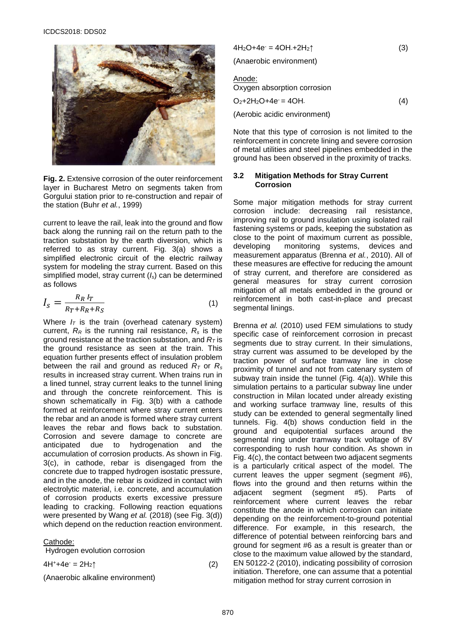

**Fig. 2.** Extensive corrosion of the outer reinforcement layer in Bucharest Metro on segments taken from Gorgului station prior to re-construction and repair of the station (Buhr *et al.*, 1999)

current to leave the rail, leak into the ground and flow back along the running rail on the return path to the traction substation by the earth diversion, which is referred to as stray current. Fig. 3(a) shows a simplified electronic circuit of the electric railway system for modeling the stray current. Based on this simplified model, stray current (*Is*) can be determined as follows

$$
I_S = \frac{R_R I_T}{R_T + R_R + R_S} \tag{1}
$$

Where  $I_T$  is the train (overhead catenary system) current,  $R_R$  is the running rail resistance,  $R_s$  is the ground resistance at the traction substation, and *RT* is the ground resistance as seen at the train. This equation further presents effect of insulation problem between the rail and ground as reduced  $R<sub>T</sub>$  or  $R<sub>s</sub>$ results in increased stray current. When trains run in a lined tunnel, stray current leaks to the tunnel lining and through the concrete reinforcement. This is shown schematically in Fig. 3(b) with a cathode formed at reinforcement where stray current enters the rebar and an anode is formed where stray current leaves the rebar and flows back to substation. Corrosion and severe damage to concrete are anticipated due to hydrogenation and the accumulation of corrosion products. As shown in Fig. 3(c), in cathode, rebar is disengaged from the concrete due to trapped hydrogen isostatic pressure, and in the anode, the rebar is oxidized in contact with electrolytic material, i.e. concrete, and accumulation of corrosion products exerts excessive pressure leading to cracking. Following reaction equations were presented by Wang *et al.* (2018) (see Fig. 3(d)) which depend on the reduction reaction environment.

Cathode:

Hydrogen evolution corrosion

 $4H^{+} + 4e^{-} = 2H_{2} \uparrow$  (2)

(Anaerobic alkaline environment)

$$
4H_2O + 4e^- = 4OH + 2H_2\uparrow
$$
 (3)

(Anaerobic environment)

Anode: Oxygen absorption corrosion

$$
O_2 + 2H_2O + 4e = 4OH.
$$
 (4)

(Aerobic acidic environment)

Note that this type of corrosion is not limited to the reinforcement in concrete lining and severe corrosion of metal utilities and steel pipelines embedded in the ground has been observed in the proximity of tracks.

#### **3.2 Mitigation Methods for Stray Current Corrosion**

Some major mitigation methods for stray current corrosion include: decreasing rail resistance, improving rail to ground insulation using isolated rail fastening systems or pads, keeping the substation as close to the point of maximum current as possible, developing monitoring systems, devices and measurement apparatus (Brenna *et al.*, 2010). All of these measures are effective for reducing the amount of stray current, and therefore are considered as general measures for stray current corrosion mitigation of all metals embedded in the ground or reinforcement in both cast-in-place and precast segmental linings.

Brenna *et al.* (2010) used FEM simulations to study specific case of reinforcement corrosion in precast segments due to stray current. In their simulations, stray current was assumed to be developed by the traction power of surface tramway line in close proximity of tunnel and not from catenary system of subway train inside the tunnel (Fig. 4(a)). While this simulation pertains to a particular subway line under construction in Milan located under already existing and working surface tramway line, results of this study can be extended to general segmentally lined tunnels. Fig. 4(b) shows conduction field in the ground and equipotential surfaces around the segmental ring under tramway track voltage of 8V corresponding to rush hour condition. As shown in Fig. 4(c), the contact between two adjacent segments is a particularly critical aspect of the model. The current leaves the upper segment (segment #6), flows into the ground and then returns within the adjacent segment (segment #5). Parts of reinforcement where current leaves the rebar constitute the anode in which corrosion can initiate depending on the reinforcement-to-ground potential difference. For example, in this research, the difference of potential between reinforcing bars and ground for segment #6 as a result is greater than or close to the maximum value allowed by the standard, EN 50122-2 (2010), indicating possibility of corrosion initiation. Therefore, one can assume that a potential mitigation method for stray current corrosion in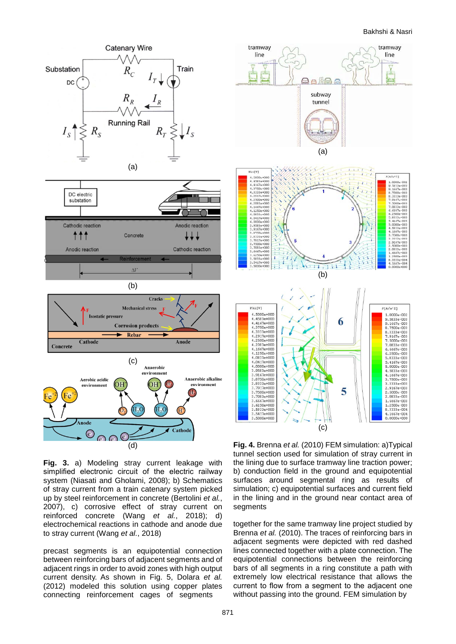





**Fig. 3.** a) Modeling stray current leakage with simplified electronic circuit of the electric railway system (Niasati and Gholami, 2008); b) Schematics of stray current from a train catenary system picked up by steel reinforcement in concrete (Bertolini *et al.*, 2007), c) corrosive effect of stray current on reinforced concrete (Wang *et al.*, 2018); d) electrochemical reactions in cathode and anode due to stray current (Wang *et al.*, 2018)

precast segments is an equipotential connection between reinforcing bars of adjacent segments and of adjacent rings in order to avoid zones with high output current density. As shown in Fig. 5, Dolara *et al.* (2012) modeled this solution using copper plates connecting reinforcement cages of segments



**Fig. 4.** Brenna *et al.* (2010) FEM simulation: a)Typical tunnel section used for simulation of stray current in the lining due to surface tramway line traction power; b) conduction field in the ground and equipotential surfaces around segmental ring as results of simulation; c) equipotential surfaces and current field in the lining and in the ground near contact area of segments

together for the same tramway line project studied by Brenna *et al.* (2010). The traces of reinforcing bars in adjacent segments were depicted with red dashed lines connected together with a plate connection. The equipotential connections between the reinforcing bars of all segments in a ring constitute a path with extremely low electrical resistance that allows the current to flow from a segment to the adjacent one without passing into the ground. FEM simulation by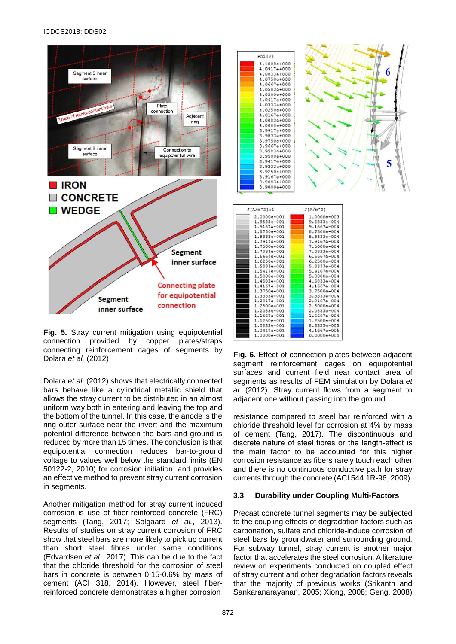

**Fig. 5.** Stray current mitigation using equipotential connection provided by copper plates/straps connecting reinforcement cages of segments by Dolara *et al.* (2012)

Dolara *et al.* (2012) shows that electrically connected bars behave like a cylindrical metallic shield that allows the stray current to be distributed in an almost uniform way both in entering and leaving the top and the bottom of the tunnel. In this case, the anode is the ring outer surface near the invert and the maximum potential difference between the bars and ground is reduced by more than 15 times. The conclusion is that equipotential connection reduces bar-to-ground voltage to values well below the standard limits (EN 50122-2, 2010) for corrosion initiation, and provides an effective method to prevent stray current corrosion in segments.

Another mitigation method for stray current induced corrosion is use of fiber-reinforced concrete (FRC) segments (Tang, 2017; Solgaard *et al.*, 2013). Results of studies on stray current corrosion of FRC show that steel bars are more likely to pick up current than short steel fibres under same conditions (Edvardsen *et al.*, 2017). This can be due to the fact that the chloride threshold for the corrosion of steel bars in concrete is between 0.15-0.6% by mass of cement (ACI 318, 2014). However, steel fiberreinforced concrete demonstrates a higher corrosion





resistance compared to steel bar reinforced with a chloride threshold level for corrosion at 4% by mass of cement (Tang, 2017). The discontinuous and discrete nature of steel fibres or the length-effect is the main factor to be accounted for this higher corrosion resistance as fibers rarely touch each other and there is no continuous conductive path for stray currents through the concrete (ACI 544.1R-96, 2009).

### **3.3 Durability under Coupling Multi-Factors**

Precast concrete tunnel segments may be subjected to the coupling effects of degradation factors such as carbonation, sulfate and chloride-induce corrosion of steel bars by groundwater and surrounding ground. For subway tunnel, stray current is another major factor that accelerates the steel corrosion. A literature review on experiments conducted on coupled effect of stray current and other degradation factors reveals that the majority of previous works (Srikanth and Sankaranarayanan, 2005; Xiong, 2008; Geng, 2008)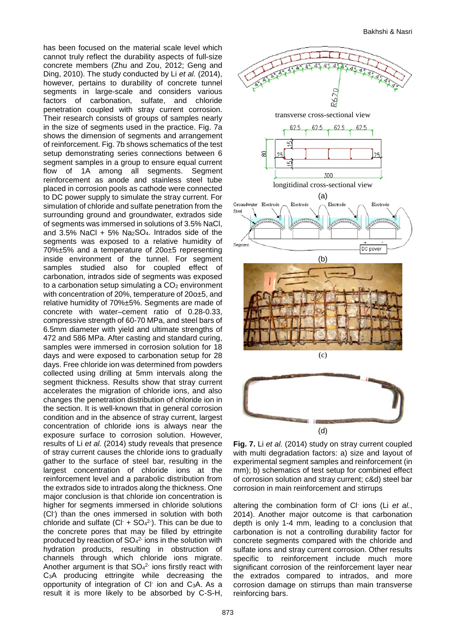has been focused on the material scale level which cannot truly reflect the durability aspects of full-size concrete members (Zhu and Zou, 2012; Geng and Ding, 2010). The study conducted by Li *et al.* (2014), however, pertains to durability of concrete tunnel segments in large-scale and considers various factors of carbonation, sulfate, and chloride penetration coupled with stray current corrosion. Their research consists of groups of samples nearly in the size of segments used in the practice. Fig. 7a shows the dimension of segments and arrangement of reinforcement. Fig. 7b shows schematics of the test setup demonstrating series connections between 6 segment samples in a group to ensure equal current flow of 1A among all segments. Segment reinforcement as anode and stainless steel tube placed in corrosion pools as cathode were connected to DC power supply to simulate the stray current. For simulation of chloride and sulfate penetration from the surrounding ground and groundwater, extrados side of segments was immersed in solutions of 3.5% NaCl, and  $3.5\%$  NaCl +  $5\%$  Na<sub>2</sub>SO<sub>4</sub>. Intrados side of the segments was exposed to a relative humidity of 70%±5% and a temperature of 20o±5 representing inside environment of the tunnel. For segment samples studied also for coupled effect of carbonation, intrados side of segments was exposed to a carbonation setup simulating a  $CO<sub>2</sub>$  environment with concentration of 20%, temperature of 20o±5, and relative humidity of 70%±5%. Segments are made of concrete with water–cement ratio of 0.28-0.33, compressive strength of 60-70 MPa, and steel bars of 6.5mm diameter with yield and ultimate strengths of 472 and 586 MPa. After casting and standard curing, samples were immersed in corrosion solution for 18 days and were exposed to carbonation setup for 28 days. Free chloride ion was determined from powders collected using drilling at 5mm intervals along the segment thickness. Results show that stray current accelerates the migration of chloride ions, and also changes the penetration distribution of chloride ion in the section. It is well-known that in general corrosion condition and in the absence of stray current, largest concentration of chloride ions is always near the exposure surface to corrosion solution. However, results of Li *et al.* (2014) study reveals that presence of stray current causes the chloride ions to gradually gather to the surface of steel bar, resulting in the largest concentration of chloride ions at the reinforcement level and a parabolic distribution from the extrados side to intrados along the thickness. One major conclusion is that chloride ion concentration is higher for segments immersed in chloride solutions (Cl- ) than the ones immersed in solution with both chloride and sulfate (CI  $+$  SO<sub>4</sub><sup>2</sup>). This can be due to the concrete pores that may be filled by ettringite produced by reaction of  $SO<sub>4</sub><sup>2</sup>$  ions in the solution with hydration products, resulting in obstruction of channels through which chloride ions migrate. Another argument is that  $SO<sub>4</sub><sup>2</sup>$  ions firstly react with C3A producing ettringite while decreasing the opportunity of integration of  $Cl^-$  ion and  $C_3A$ . As a result it is more likely to be absorbed by C-S-H,



**Fig. 7.** Li *et al.* (2014) study on stray current coupled with multi degradation factors: a) size and layout of experimental segment samples and reinforcement (in mm); b) schematics of test setup for combined effect of corrosion solution and stray current; c&d) steel bar corrosion in main reinforcement and stirrups

altering the combination form of Cl- ions (Li *et al.*, 2014). Another major outcome is that carbonation depth is only 1-4 mm, leading to a conclusion that carbonation is not a controlling durability factor for concrete segments compared with the chloride and sulfate ions and stray current corrosion. Other results specific to reinforcement include much more significant corrosion of the reinforcement layer near the extrados compared to intrados, and more corrosion damage on stirrups than main transverse reinforcing bars.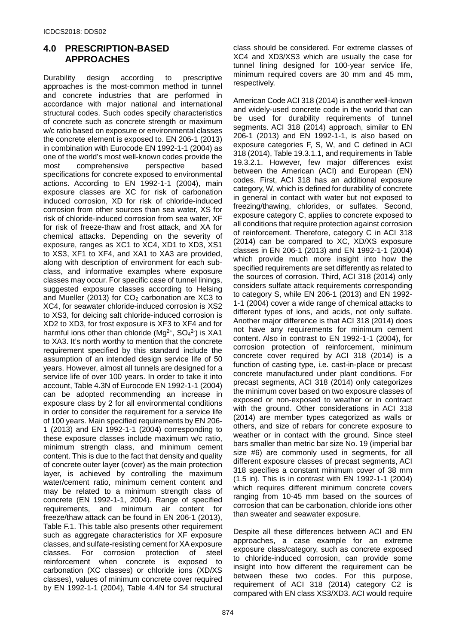# **4.0 PRESCRIPTION-BASED APPROACHES**

Durability design according to prescriptive approaches is the most-common method in tunnel and concrete industries that are performed in accordance with major national and international structural codes. Such codes specify characteristics of concrete such as concrete strength or maximum w/c ratio based on exposure or environmental classes the concrete element is exposed to. EN 206-1 (2013) in combination with Eurocode EN 1992-1-1 (2004) as one of the world's most well-known codes provide the<br>most comprehensive perspective based most comprehensive perspective based specifications for concrete exposed to environmental actions. According to EN 1992-1-1 (2004), main exposure classes are XC for risk of carbonation induced corrosion, XD for risk of chloride-induced corrosion from other sources than sea water, XS for risk of chloride-induced corrosion from sea water, XF for risk of freeze-thaw and frost attack, and XA for chemical attacks. Depending on the severity of exposure, ranges as XC1 to XC4, XD1 to XD3, XS1 to XS3, XF1 to XF4, and XA1 to XA3 are provided, along with description of environment for each subclass, and informative examples where exposure classes may occur. For specific case of tunnel linings, suggested exposure classes according to Helsing and Mueller (2013) for  $CO<sub>2</sub>$  carbonation are XC3 to XC4, for seawater chloride-induced corrosion is XS2 to XS3, for deicing salt chloride-induced corrosion is XD2 to XD3, for frost exposure is XF3 to XF4 and for harmful ions other than chloride (Mg<sup>2+</sup>,  $SO<sub>4</sub><sup>2</sup>$ ) is XA1 to XA3. It's north worthy to mention that the concrete requirement specified by this standard include the assumption of an intended design service life of 50 years. However, almost all tunnels are designed for a service life of over 100 years. In order to take it into account, Table 4.3N of Eurocode EN 1992-1-1 (2004) can be adopted recommending an increase in exposure class by 2 for all environmental conditions in order to consider the requirement for a service life of 100 years. Main specified requirements by EN 206- 1 (2013) and EN 1992-1-1 (2004) corresponding to these exposure classes include maximum w/c ratio, minimum strength class, and minimum cement content. This is due to the fact that density and quality of concrete outer layer (cover) as the main protection layer, is achieved by controlling the maximum water/cement ratio, minimum cement content and may be related to a minimum strength class of concrete (EN 1992-1-1, 2004). Range of specified requirements, and minimum air content for freeze/thaw attack can be found in EN 206-1 (2013), Table F.1. This table also presents other requirement such as aggregate characteristics for XF exposure classes, and sulfate-resisting cement for XA exposure classes. For corrosion protection of steel reinforcement when concrete is exposed to carbonation (XC classes) or chloride ions (XD/XS classes), values of minimum concrete cover required by EN 1992-1-1 (2004), Table 4.4N for S4 structural

class should be considered. For extreme classes of XC4 and XD3/XS3 which are usually the case for tunnel lining designed for 100-year service life, minimum required covers are 30 mm and 45 mm, respectively.

American Code ACI 318 (2014) is another well-known and widely-used concrete code in the world that can be used for durability requirements of tunnel segments. ACI 318 (2014) approach, similar to EN 206-1 (2013) and EN 1992-1-1, is also based on exposure categories F, S, W, and C defined in ACI 318 (2014), Table 19.3.1.1, and requirements in Table 19.3.2.1. However, few major differences exist between the American (ACI) and European (EN) codes. First, ACI 318 has an additional exposure category, W, which is defined for durability of concrete in general in contact with water but not exposed to freezing/thawing, chlorides, or sulfates. Second, exposure category C, applies to concrete exposed to all conditions that require protection against corrosion of reinforcement. Therefore, category C in ACI 318 (2014) can be compared to XC, XD/XS exposure classes in EN 206-1 (2013) and EN 1992-1-1 (2004) which provide much more insight into how the specified requirements are set differently as related to the sources of corrosion. Third, ACI 318 (2014) only considers sulfate attack requirements corresponding to category S, while EN 206-1 (2013) and EN 1992- 1-1 (2004) cover a wide range of chemical attacks to different types of ions, and acids, not only sulfate. Another major difference is that ACI 318 (2014) does not have any requirements for minimum cement content. Also in contrast to EN 1992-1-1 (2004), for corrosion protection of reinforcement, minimum concrete cover required by ACI 318 (2014) is a function of casting type, i.e. cast-in-place or precast concrete manufactured under plant conditions. For precast segments, ACI 318 (2014) only categorizes the minimum cover based on two exposure classes of exposed or non-exposed to weather or in contract with the ground. Other considerations in ACI 318 (2014) are member types categorized as walls or others, and size of rebars for concrete exposure to weather or in contact with the ground. Since steel bars smaller than metric bar size No. 19 (imperial bar size #6) are commonly used in segments, for all different exposure classes of precast segments, ACI 318 specifies a constant minimum cover of 38 mm (1.5 in). This is in contrast with EN 1992-1-1 (2004) which requires different minimum concrete covers ranging from 10-45 mm based on the sources of corrosion that can be carbonation, chloride ions other than sweater and seawater exposure.

Despite all these differences between ACI and EN approaches, a case example for an extreme exposure class/category, such as concrete exposed to chloride-induced corrosion, can provide some insight into how different the requirement can be between these two codes. For this purpose, requirement of ACI 318 (2014) category C2 is compared with EN class XS3/XD3. ACI would require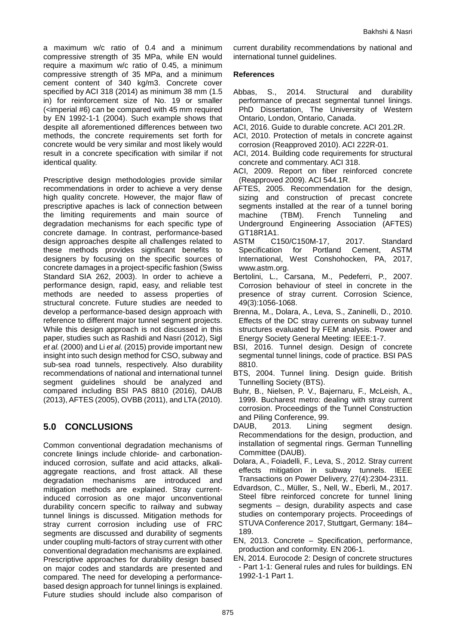a maximum w/c ratio of 0.4 and a minimum compressive strength of 35 MPa, while EN would require a maximum w/c ratio of 0.45, a minimum compressive strength of 35 MPa, and a minimum cement content of 340 kg/m3. Concrete cover specified by ACI 318 (2014) as minimum 38 mm (1.5 in) for reinforcement size of No. 19 or smaller (<imperial #6) can be compared with 45 mm required by EN 1992-1-1 (2004). Such example shows that despite all aforementioned differences between two methods, the concrete requirements set forth for concrete would be very similar and most likely would result in a concrete specification with similar if not identical quality.

Prescriptive design methodologies provide similar recommendations in order to achieve a very dense high quality concrete. However, the major flaw of prescriptive apaches is lack of connection between the limiting requirements and main source of degradation mechanisms for each specific type of concrete damage. In contrast, performance-based design approaches despite all challenges related to these methods provides significant benefits to designers by focusing on the specific sources of concrete damages in a project-specific fashion (Swiss Standard SIA 262, 2003). In order to achieve a performance design, rapid, easy, and reliable test methods are needed to assess properties of structural concrete. Future studies are needed to develop a performance-based design approach with reference to different major tunnel segment projects. While this design approach is not discussed in this paper, studies such as Rashidi and Nasri (2012), Sigl *et al.* (2000) and Li *et al.* (2015) provide important new insight into such design method for CSO, subway and sub-sea road tunnels, respectively. Also durability recommendations of national and international tunnel segment guidelines should be analyzed and compared including BSI PAS 8810 (2016), DAUB (2013), AFTES (2005), OVBB (2011), and LTA (2010).

# **5.0 CONCLUSIONS**

Common conventional degradation mechanisms of concrete linings include chloride- and carbonationinduced corrosion, sulfate and acid attacks, alkaliaggregate reactions, and frost attack. All these degradation mechanisms are introduced and mitigation methods are explained. Stray currentinduced corrosion as one major unconventional durability concern specific to railway and subway tunnel linings is discussed. Mitigation methods for stray current corrosion including use of FRC segments are discussed and durability of segments under coupling multi-factors of stray current with other conventional degradation mechanisms are explained. Prescriptive approaches for durability design based on major codes and standards are presented and compared. The need for developing a performancebased design approach for tunnel linings is explained. Future studies should include also comparison of

current durability recommendations by national and international tunnel guidelines.

### **References**

- Abbas, S., 2014. Structural and durability performance of precast segmental tunnel linings. PhD Dissertation, The University of Western Ontario, London, Ontario, Canada.
- ACI, 2016. Guide to durable concrete. ACI 201.2R.
- ACI, 2010. Protection of metals in concrete against corrosion (Reapproved 2010). ACI 222R-01.
- ACI, 2014. Building code requirements for structural concrete and commentary. ACI 318.
- ACI, 2009. Report on fiber reinforced concrete (Reapproved 2009). ACI 544.1R.
- AFTES, 2005. Recommendation for the design, sizing and construction of precast concrete segments installed at the rear of a tunnel boring<br>machine (TBM). French Tunneling and Tunneling and Underground Engineering Association (AFTES) GT18R1A1.
- ASTM C150/C150M-17, 2017. Standard Specification for Portland Cement, ASTM International, West Conshohocken, PA, 2017, www.astm.org.
- Bertolini, L., Carsana, M., Pedeferri, P., 2007. Corrosion behaviour of steel in concrete in the presence of stray current. Corrosion Science, 49(3):1056-1068.
- Brenna, M., Dolara, A., Leva, S., Zaninelli, D., 2010. Effects of the DC stray currents on subway tunnel structures evaluated by FEM analysis. Power and Energy Society General Meeting: IEEE:1-7.
- BSI, 2016. Tunnel design. Design of concrete segmental tunnel linings, code of practice. BSI PAS 8810.
- BTS, 2004. Tunnel lining. Design guide. British Tunnelling Society (BTS).
- Buhr, B., Nielsen, P. V., Bajernaru, F., McLeish, A., 1999. Bucharest metro: dealing with stray current corrosion. Proceedings of the Tunnel Construction and Piling Conference, 99.
- DAUB, 2013. Lining segment design. Recommendations for the design, production, and installation of segmental rings. German Tunnelling Committee (DAUB).
- Dolara, A., Foiadelli, F., Leva, S., 2012. Stray current effects mitigation in subway tunnels. IEEE Transactions on Power Delivery, 27(4):2304-2311.
- Edvardson, C., Müller, S., Nell, W., Eberli, M., 2017. Steel fibre reinforced concrete for tunnel lining segments – design, durability aspects and case studies on contemporary projects. Proceedings of STUVA Conference 2017, Stuttgart, Germany: 184– 189.
- EN, 2013. Concrete Specification, performance, production and conformity. EN 206-1.
- EN, 2014. Eurocode 2: Design of concrete structures - Part 1-1: General rules and rules for buildings. EN 1992-1-1 Part 1.